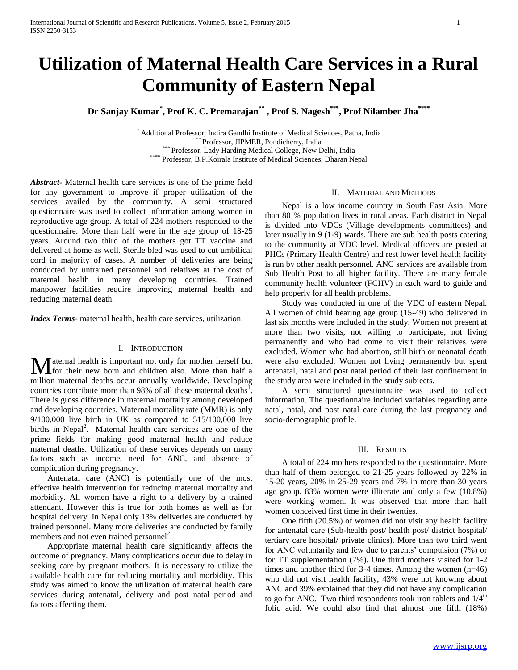# **Utilization of Maternal Health Care Services in a Rural Community of Eastern Nepal**

**Dr Sanjay Kumar\* , Prof K. C. Premarajan\*\* , Prof S. Nagesh\*\*\*, Prof Nilamber Jha\*\*\*\***

\* Additional Professor, Indira Gandhi Institute of Medical Sciences, Patna, India \*\* Professor, JIPMER, Pondicherry, India \*\*\* Professor, Lady Harding Medical College, New Delhi, India \*\*\*\* Professor, B.P.Koirala Institute of Medical Sciences, Dharan Nepal

*Abstract***-** Maternal health care services is one of the prime field for any government to improve if proper utilization of the services availed by the community. A semi structured questionnaire was used to collect information among women in reproductive age group. A total of 224 mothers responded to the questionnaire. More than half were in the age group of 18-25 years. Around two third of the mothers got TT vaccine and delivered at home as well. Sterile bled was used to cut umbilical cord in majority of cases. A number of deliveries are being conducted by untrained personnel and relatives at the cost of maternal health in many developing countries. Trained manpower facilities require improving maternal health and reducing maternal death.

*Index Terms*- maternal health, health care services, utilization.

## I. INTRODUCTION

aternal health is important not only for mother herself but **M** aternal health is important not only for mother herself but<br>for their new born and children also. More than half a million maternal deaths occur annually worldwide. Developing countries contribute more than 98% of all these maternal deaths<sup> $\overline{1}$ </sup>. There is gross difference in maternal mortality among developed and developing countries. Maternal mortality rate (MMR) is only  $9/100,000$  live birth in UK as compared to  $515/100,000$  live births in Nepal<sup>2</sup>. Maternal health care services are one of the prime fields for making good maternal health and reduce maternal deaths. Utilization of these services depends on many factors such as income, need for ANC, and absence of complication during pregnancy.

 Antenatal care (ANC) is potentially one of the most effective health intervention for reducing maternal mortality and morbidity. All women have a right to a delivery by a trained attendant. However this is true for both homes as well as for hospital delivery. In Nepal only 13% deliveries are conducted by trained personnel. Many more deliveries are conducted by family members and not even trained personnel<sup>2</sup>.

 Appropriate maternal health care significantly affects the outcome of pregnancy. Many complications occur due to delay in seeking care by pregnant mothers. It is necessary to utilize the available health care for reducing mortality and morbidity. This study was aimed to know the utilization of maternal health care services during antenatal, delivery and post natal period and factors affecting them.

## II. MATERIAL AND METHODS

 Nepal is a low income country in South East Asia. More than 80 % population lives in rural areas. Each district in Nepal is divided into VDCs (Village developments committees) and later usually in 9 (1-9) wards. There are sub health posts catering to the community at VDC level. Medical officers are posted at PHCs (Primary Health Centre) and rest lower level health facility is run by other health personnel. ANC services are available from Sub Health Post to all higher facility. There are many female community health volunteer (FCHV) in each ward to guide and help properly for all health problems.

 Study was conducted in one of the VDC of eastern Nepal. All women of child bearing age group (15-49) who delivered in last six months were included in the study. Women not present at more than two visits, not willing to participate, not living permanently and who had come to visit their relatives were excluded. Women who had abortion, still birth or neonatal death were also excluded. Women not living permanently but spent antenatal, natal and post natal period of their last confinement in the study area were included in the study subjects.

 A semi structured questionnaire was used to collect information. The questionnaire included variables regarding ante natal, natal, and post natal care during the last pregnancy and socio-demographic profile.

#### III. RESULTS

 A total of 224 mothers responded to the questionnaire. More than half of them belonged to 21-25 years followed by 22% in 15-20 years, 20% in 25-29 years and 7% in more than 30 years age group. 83% women were illiterate and only a few (10.8%) were working women. It was observed that more than half women conceived first time in their twenties.

 One fifth (20.5%) of women did not visit any health facility for antenatal care (Sub-health post/ health post/ district hospital/ tertiary care hospital/ private clinics). More than two third went for ANC voluntarily and few due to parents' compulsion (7%) or for TT supplementation (7%). One third mothers visited for 1-2 times and another third for 3-4 times. Among the women (n=46) who did not visit health facility, 43% were not knowing about ANC and 39% explained that they did not have any complication to go for ANC. Two third respondents took iron tablets and  $1/4<sup>th</sup>$ folic acid. We could also find that almost one fifth (18%)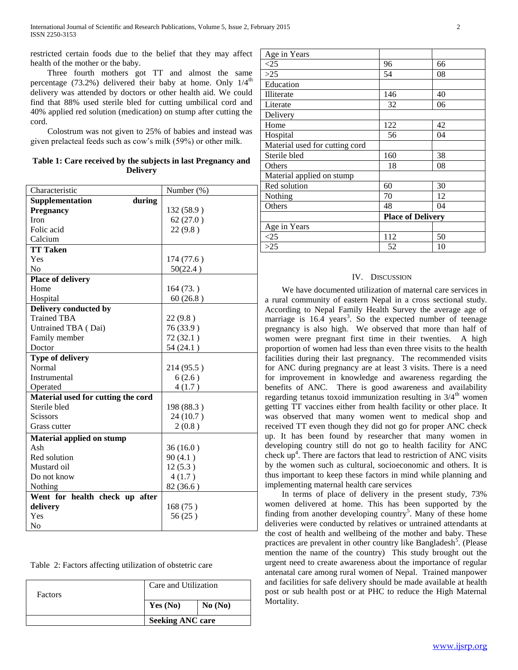restricted certain foods due to the belief that they may affect health of the mother or the baby.

 Three fourth mothers got TT and almost the same percentage (73.2%) delivered their baby at home. Only  $1/4^{\text{th}}$ delivery was attended by doctors or other health aid. We could find that 88% used sterile bled for cutting umbilical cord and 40% applied red solution (medication) on stump after cutting the cord.

 Colostrum was not given to 25% of babies and instead was given prelacteal feeds such as cow's milk (59%) or other milk.

| Table 1: Care received by the subjects in last Pregnancy and |
|--------------------------------------------------------------|
| <b>Delivery</b>                                              |

| Characteristic                     | Number (%) |
|------------------------------------|------------|
| during<br>Supplementation          |            |
| <b>Pregnancy</b>                   | 132 (58.9) |
| <b>Iron</b>                        | 62(27.0)   |
| Folic acid                         | 22(9.8)    |
| Calcium                            |            |
| <b>TT Taken</b>                    |            |
| Yes                                | 174 (77.6) |
| No                                 | 50(22.4)   |
| <b>Place of delivery</b>           |            |
| Home                               | 164(73.)   |
| Hospital                           | 60(26.8)   |
| Delivery conducted by              |            |
| <b>Trained TBA</b>                 | 22(9.8)    |
| Untrained TBA (Dai)                | 76 (33.9)  |
| Family member                      | 72(32.1)   |
| Doctor                             | 54 (24.1)  |
| <b>Type of delivery</b>            |            |
| Normal                             | 214 (95.5) |
| Instrumental                       | 6(2.6)     |
| Operated                           | 4(1.7)     |
| Material used for cutting the cord |            |
| Sterile bled                       | 198 (88.3) |
| <b>Scissors</b>                    | 24 (10.7)  |
| Grass cutter                       | 2(0.8)     |
| <b>Material applied on stump</b>   |            |
| Ash                                | 36(16.0)   |
| Red solution                       | 90(4.1)    |
| Mustard oil                        | 12(5.3)    |
| Do not know                        | 4(1.7)     |
| Nothing                            | 82 (36.6)  |
| Went for health check up after     |            |
| delivery                           | 168(75)    |
| Yes                                | 56(25)     |
| N <sub>0</sub>                     |            |

| Table 2: Factors affecting utilization of obstetric care |  |  |  |  |  |  |
|----------------------------------------------------------|--|--|--|--|--|--|
|----------------------------------------------------------|--|--|--|--|--|--|

| <b>Factors</b> | Care and Utilization    |         |  |
|----------------|-------------------------|---------|--|
|                | Yes $(No)$              | No (No) |  |
|                | <b>Seeking ANC care</b> |         |  |

| Age in Years                   |                          |    |  |
|--------------------------------|--------------------------|----|--|
| $\leq$ 25                      | 96                       | 66 |  |
| $>25$                          | 54                       | 08 |  |
| Education                      |                          |    |  |
| Illiterate                     | 146                      | 40 |  |
| Literate                       | 32                       | 06 |  |
| Delivery                       |                          |    |  |
| Home                           | 122                      | 42 |  |
| Hospital                       | 56                       | 04 |  |
| Material used for cutting cord |                          |    |  |
| Sterile bled                   | 160                      | 38 |  |
| Others                         | 18                       | 08 |  |
| Material applied on stump      |                          |    |  |
| Red solution                   | 60                       | 30 |  |
| Nothing                        | 70                       | 12 |  |
| Others                         | 48                       | 04 |  |
|                                | <b>Place of Delivery</b> |    |  |
| Age in Years                   |                          |    |  |
| <25                            | 112                      | 50 |  |
| >25                            | 52                       | 10 |  |

## IV. DISCUSSION

 We have documented utilization of maternal care services in a rural community of eastern Nepal in a cross sectional study. According to Nepal Family Health Survey the average age of marriage is 16.4 years<sup>3</sup>. So the expected number of teenage pregnancy is also high. We observed that more than half of women were pregnant first time in their twenties. A high proportion of women had less than even three visits to the health facilities during their last pregnancy. The recommended visits for ANC during pregnancy are at least 3 visits. There is a need for improvement in knowledge and awareness regarding the benefits of ANC. There is good awareness and availability regarding tetanus toxoid immunization resulting in  $3/4$ <sup>th</sup> women getting TT vaccines either from health facility or other place. It was observed that many women went to medical shop and received TT even though they did not go for proper ANC check up. It has been found by researcher that many women in developing country still do not go to health facility for ANC check up<sup>4</sup>. There are factors that lead to restriction of ANC visits by the women such as cultural, socioeconomic and others. It is thus important to keep these factors in mind while planning and implementing maternal health care services

 In terms of place of delivery in the present study, 73% women delivered at home. This has been supported by the finding from another developing country<sup>5</sup>. Many of these home deliveries were conducted by relatives or untrained attendants at the cost of health and wellbeing of the mother and baby. These practices are prevalent in other country like Bangladesh<sup>5</sup>. (Please mention the name of the country) This study brought out the urgent need to create awareness about the importance of regular antenatal care among rural women of Nepal. Trained manpower and facilities for safe delivery should be made available at health post or sub health post or at PHC to reduce the High Maternal Mortality.